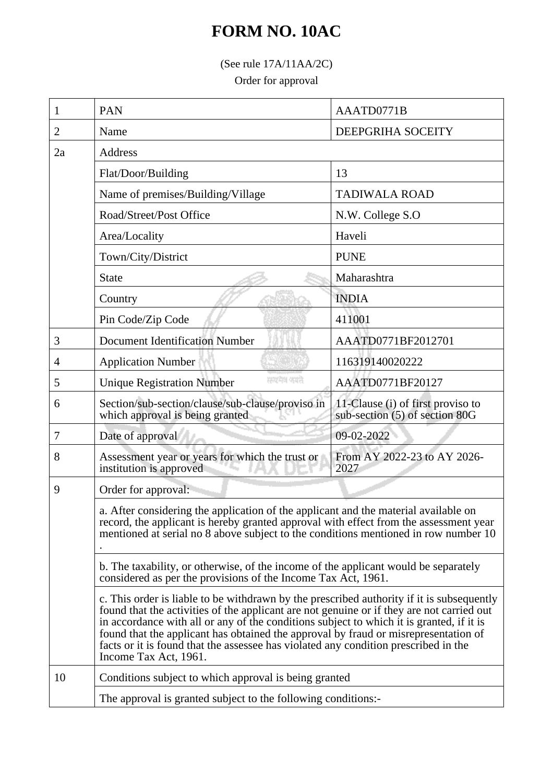## **FORM NO. 10AC**

(See rule 17A/11AA/2C)

Order for approval

| 1  | PAN                                                                                                                                                                                                                                                                                                                                                                                                                                                                                                                                                                                                                                               | AAATD0771B                                                          |  |
|----|---------------------------------------------------------------------------------------------------------------------------------------------------------------------------------------------------------------------------------------------------------------------------------------------------------------------------------------------------------------------------------------------------------------------------------------------------------------------------------------------------------------------------------------------------------------------------------------------------------------------------------------------------|---------------------------------------------------------------------|--|
| 2  | Name                                                                                                                                                                                                                                                                                                                                                                                                                                                                                                                                                                                                                                              | DEEPGRIHA SOCEITY                                                   |  |
| 2a | <b>Address</b>                                                                                                                                                                                                                                                                                                                                                                                                                                                                                                                                                                                                                                    |                                                                     |  |
|    | Flat/Door/Building                                                                                                                                                                                                                                                                                                                                                                                                                                                                                                                                                                                                                                | 13                                                                  |  |
|    | Name of premises/Building/Village                                                                                                                                                                                                                                                                                                                                                                                                                                                                                                                                                                                                                 | <b>TADIWALA ROAD</b>                                                |  |
|    | Road/Street/Post Office                                                                                                                                                                                                                                                                                                                                                                                                                                                                                                                                                                                                                           | N.W. College S.O                                                    |  |
|    | Area/Locality                                                                                                                                                                                                                                                                                                                                                                                                                                                                                                                                                                                                                                     | Haveli                                                              |  |
|    | Town/City/District                                                                                                                                                                                                                                                                                                                                                                                                                                                                                                                                                                                                                                | <b>PUNE</b>                                                         |  |
|    | <b>State</b>                                                                                                                                                                                                                                                                                                                                                                                                                                                                                                                                                                                                                                      | Maharashtra                                                         |  |
|    | Country                                                                                                                                                                                                                                                                                                                                                                                                                                                                                                                                                                                                                                           | <b>INDIA</b>                                                        |  |
|    | Pin Code/Zip Code                                                                                                                                                                                                                                                                                                                                                                                                                                                                                                                                                                                                                                 | 411001                                                              |  |
| 3  | <b>Document Identification Number</b>                                                                                                                                                                                                                                                                                                                                                                                                                                                                                                                                                                                                             | AAATD0771BF2012701                                                  |  |
| 4  | <b>Application Number</b>                                                                                                                                                                                                                                                                                                                                                                                                                                                                                                                                                                                                                         | 116319140020222                                                     |  |
| 5  | सम्प्रमेश क्यारे<br><b>Unique Registration Number</b>                                                                                                                                                                                                                                                                                                                                                                                                                                                                                                                                                                                             | AAATD0771BF20127                                                    |  |
| 6  | Section/sub-section/clause/sub-clause/proviso in<br>which approval is being granted                                                                                                                                                                                                                                                                                                                                                                                                                                                                                                                                                               | 11-Clause (i) of first proviso to<br>sub-section (5) of section 80G |  |
| 7  | Date of approval                                                                                                                                                                                                                                                                                                                                                                                                                                                                                                                                                                                                                                  | 09-02-2022                                                          |  |
| 8  | Assessment year or years for which the trust or<br>institution is approved                                                                                                                                                                                                                                                                                                                                                                                                                                                                                                                                                                        | From AY 2022-23 to AY 2026-<br>2027                                 |  |
| 9  | Order for approval:<br>a. After considering the application of the applicant and the material available on<br>record, the applicant is hereby granted approval with effect from the assessment year<br>mentioned at serial no 8 above subject to the conditions mentioned in row number 10                                                                                                                                                                                                                                                                                                                                                        |                                                                     |  |
|    |                                                                                                                                                                                                                                                                                                                                                                                                                                                                                                                                                                                                                                                   |                                                                     |  |
|    | b. The taxability, or otherwise, of the income of the applicant would be separately<br>considered as per the provisions of the Income Tax Act, 1961.<br>c. This order is liable to be withdrawn by the prescribed authority if it is subsequently<br>found that the activities of the applicant are not genuine or if they are not carried out<br>in accordance with all or any of the conditions subject to which it is granted, if it is<br>found that the applicant has obtained the approval by fraud or misrepresentation of<br>facts or it is found that the assessee has violated any condition prescribed in the<br>Income Tax Act, 1961. |                                                                     |  |
|    |                                                                                                                                                                                                                                                                                                                                                                                                                                                                                                                                                                                                                                                   |                                                                     |  |
| 10 | Conditions subject to which approval is being granted<br>The approval is granted subject to the following conditions:-                                                                                                                                                                                                                                                                                                                                                                                                                                                                                                                            |                                                                     |  |
|    |                                                                                                                                                                                                                                                                                                                                                                                                                                                                                                                                                                                                                                                   |                                                                     |  |